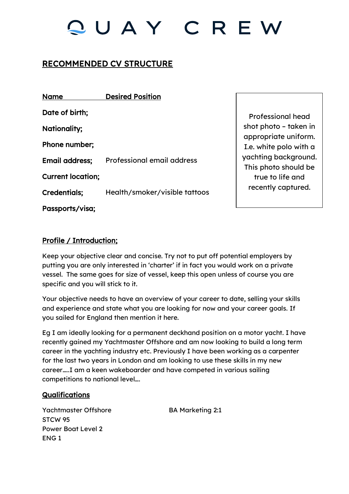# RECOMMENDED CV STRUCTURE

| <b>Name</b>              | <b>Desired Position</b>           |
|--------------------------|-----------------------------------|
| Date of birth;           |                                   |
| Nationality;             |                                   |
| Phone number;            |                                   |
| Email address;           | <b>Professional email address</b> |
| <b>Current location;</b> |                                   |
| <b>Credentials;</b>      | Health/smoker/visible tattoos     |
| Passports/visa;          |                                   |

Professional head shot photo – taken in appropriate uniform. I.e. white polo with a yachting background. This photo should be true to life and recently captured.

## Profile / Introduction;

Keep your objective clear and concise. Try not to put off potential employers by putting you are only interested in 'charter' if in fact you would work on a private vessel. The same goes for size of vessel, keep this open unless of course you are specific and you will stick to it.

Your objective needs to have an overview of your career to date, selling your skills and experience and state what you are looking for now and your career goals. If you sailed for England then mention it here.

Eg I am ideally looking for a permanent deckhand position on a motor yacht. I have recently gained my Yachtmaster Offshore and am now looking to build a long term career in the yachting industry etc. Previously I have been working as a carpenter for the last two years in London and am looking to use these skills in my new career…..I am a keen wakeboarder and have competed in various sailing competitions to national level….

### **Qualifications**

Yachtmaster Offshore BA Marketing 2:1 STCW 95 Power Boat Level 2 ENG 1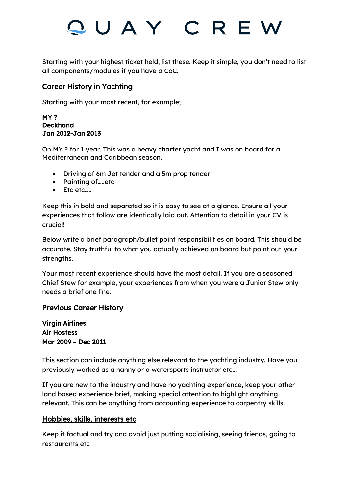Starting with your highest ticket held, list these. Keep it simple, you don't need to list all components/modules if you have a CoC.

### Career History in Yachting

Starting with your most recent, for example;

#### MY ? Deckhand Jan 2012-Jan 2013

On MY ? for 1 year. This was a heavy charter yacht and I was on board for a Mediterranean and Caribbean season.

- Driving of 6m Jet tender and a 5m prop tender
- Painting of ……etc
- Etc etc…..

Keep this in bold and separated so it is easy to see at a glance. Ensure all your experiences that follow are identically laid out. Attention to detail in your CV is crucial!

Below write a brief paragraph/bullet point responsibilities on board. This should be accurate. Stay truthful to what you actually achieved on board but point out your strengths.

Your most recent experience should have the most detail. If you are a seasoned Chief Stew for example, your experiences from when you were a Junior Stew only needs a brief one line.

## Previous Career History

Virgin Airlines Air Hostess Mar 2009 – Dec 2011

This section can include anything else relevant to the yachting industry. Have you previously worked as a nanny or a watersports instructor etc...

If you are new to the industry and have no yachting experience, keep your other land based experience brief, making special attention to highlight anything relevant. This can be anything from accounting experience to carpentry skills.

### Hobbies, skills, interests etc

Keep it factual and try and avoid just putting socialising, seeing friends, going to restaurants etc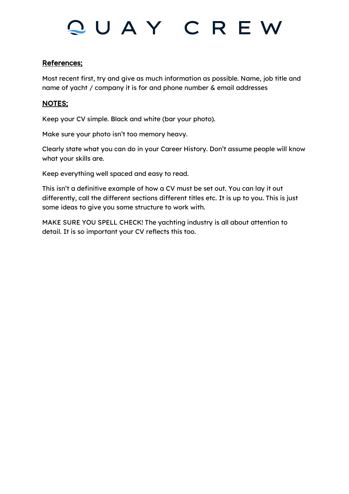### References;

Most recent first, try and give as much information as possible. Name, job title and name of yacht / company it is for and phone number & email addresses

### NOTES;

Keep your CV simple. Black and white (bar your photo).

Make sure your photo isn't too memory heavy.

Clearly state what you can do in your Career History. Don't assume people will know what your skills are.

Keep everything well spaced and easy to read.

This isn't a definitive example of how a CV must be set out. You can lay it out differently, call the different sections different titles etc. It is up to you. This is just some ideas to give you some structure to work with.

MAKE SURE YOU SPELL CHECK! The yachting industry is all about attention to detail. It is so important your CV reflects this too.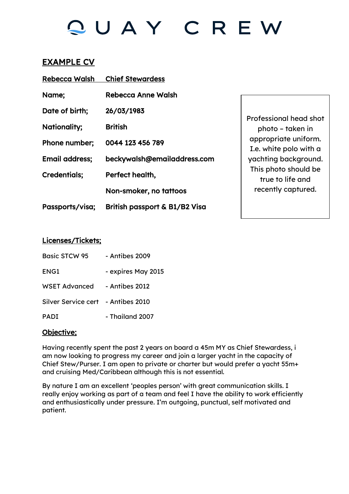# EXAMPLE CV

| <b>Rebecca Walsh</b>  | <b>Chief Stewardess</b>       |  |
|-----------------------|-------------------------------|--|
| Name;                 | <b>Rebecca Anne Walsh</b>     |  |
| Date of birth;        | 26/03/1983                    |  |
| Nationality;          | <b>British</b>                |  |
| Phone number;         | 0044 123 456 789              |  |
| <b>Email address;</b> | beckywalsh@emailaddress.com   |  |
| <b>Credentials;</b>   | Perfect health,               |  |
|                       | Non-smoker, no tattoos        |  |
| Passports/visa;       | British passport & B1/B2 Visa |  |

Professional head shot photo – taken in appropriate uniform. I.e. white polo with a yachting background. This photo should be true to life and recently captured.

### Licenses/Tickets;

| <b>Basic STCW 95</b>               | - Antibes 2009     |
|------------------------------------|--------------------|
| ENG1                               | - expires May 2015 |
| WSET Advanced                      | - Antibes 2012     |
| Silver Service cert - Antibes 2010 |                    |
| <b>PADI</b>                        | - Thailand 2007    |

### Objective;

Having recently spent the past 2 years on board a 45m MY as Chief Stewardess, i am now looking to progress my career and join a larger yacht in the capacity of Chief Stew/Purser. I am open to private or charter but would prefer a yacht 55m+ and cruising Med/Caribbean although this is not essential.

By nature I am an excellent 'peoples person' with great communication skills. I really enjoy working as part of a team and feel I have the ability to work efficiently and enthusiastically under pressure. I'm outgoing, punctual, self motivated and patient.